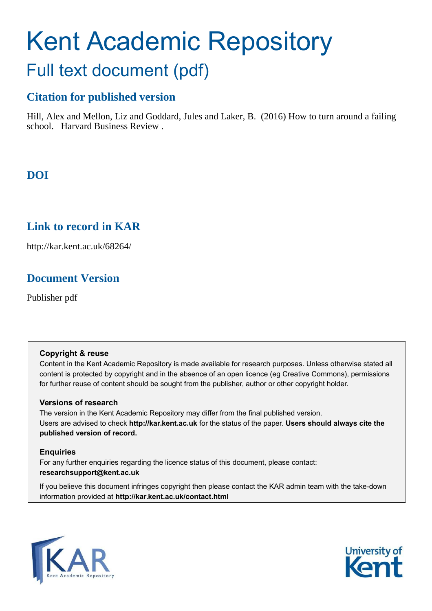## Kent Academic Repository Full text document (pdf)

## **Citation for published version**

Hill, Alex and Mellon, Liz and Goddard, Jules and Laker, B. (2016) How to turn around a failing school. Harvard Business Review .

## **DOI**

## **Link to record in KAR**

http://kar.kent.ac.uk/68264/

## **Document Version**

Publisher pdf

#### **Copyright & reuse**

Content in the Kent Academic Repository is made available for research purposes. Unless otherwise stated all content is protected by copyright and in the absence of an open licence (eg Creative Commons), permissions for further reuse of content should be sought from the publisher, author or other copyright holder.

#### **Versions of research**

The version in the Kent Academic Repository may differ from the final published version. Users are advised to check **http://kar.kent.ac.uk** for the status of the paper. **Users should always cite the published version of record.**

#### **Enquiries**

For any further enquiries regarding the licence status of this document, please contact: **researchsupport@kent.ac.uk**

If you believe this document infringes copyright then please contact the KAR admin team with the take-down information provided at **http://kar.kent.ac.uk/contact.html**



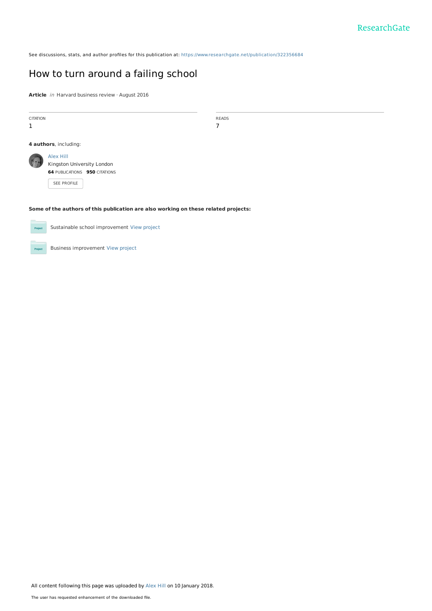See discussions, stats, and author profiles for this publication at: [https://www.researchgate.net/publication/322356684](https://www.researchgate.net/publication/322356684_How_to_turn_around_a_failing_school?enrichId=rgreq-2a022b0a9e44bbbc4767d5d4fa71590e-XXX&enrichSource=Y292ZXJQYWdlOzMyMjM1NjY4NDtBUzo1ODExNjU4OTM3ODM1NTJAMTUxNTU3MjE1NDc1MQ%3D%3D&el=1_x_2&_esc=publicationCoverPdf)

### [How to turn around a failing school](https://www.researchgate.net/publication/322356684_How_to_turn_around_a_failing_school?enrichId=rgreq-2a022b0a9e44bbbc4767d5d4fa71590e-XXX&enrichSource=Y292ZXJQYWdlOzMyMjM1NjY4NDtBUzo1ODExNjU4OTM3ODM1NTJAMTUxNTU3MjE1NDc1MQ%3D%3D&el=1_x_3&_esc=publicationCoverPdf)

Article *in* Harvard business review · August 2016

| <b>CITATION</b><br>1                                                                | <b>READS</b><br>7                                                                              |  |
|-------------------------------------------------------------------------------------|------------------------------------------------------------------------------------------------|--|
|                                                                                     | 4 authors, including:                                                                          |  |
|                                                                                     | Alex Hill<br>Kingston University London<br><b>64 PUBLICATIONS 950 CITATIONS</b><br>SEE PROFILE |  |
| Some of the authors of this publication are also working on these related projects: |                                                                                                |  |
| Project                                                                             | Sustainable school improvement View project                                                    |  |
| Project                                                                             | Business improvement View project                                                              |  |

All content following this page was uploaded by [Alex Hill](https://www.researchgate.net/profile/Alex_Hill4?enrichId=rgreq-2a022b0a9e44bbbc4767d5d4fa71590e-XXX&enrichSource=Y292ZXJQYWdlOzMyMjM1NjY4NDtBUzo1ODExNjU4OTM3ODM1NTJAMTUxNTU3MjE1NDc1MQ%3D%3D&el=1_x_10&_esc=publicationCoverPdf) on 10 January 2018.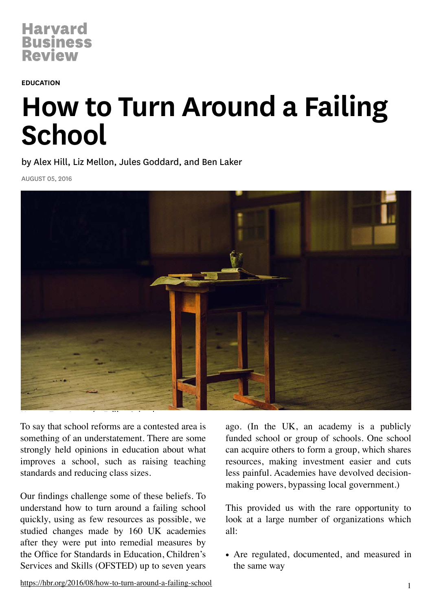#### EDUCATION

# How to Turn Around a Failing **School**

by Alex Hill, Liz Mellon, Jules Goddard, and Ben Laker

AUGUST 05, 2016



To say that school reforms are a contested area is something of an understatement. There are some strongly held opinions in education about what improves a school, such as raising teaching standards and reducing class sizes.

Our findings challenge some of these beliefs. To understand how to turn around a failing school quickly, using as few resources as possible, we studied changes made by 160 UK academies after they were put into remedial measures by the Office for Standards in Education, Children's Services and Skills (OFSTED) up to seven years

ago. (In the UK, an academy is a publicly funded school or group of schools. One school can acquire others to form a group, which shares resources, making investment easier and cuts less painful. Academies have devolved decisionmaking powers, bypassing local government.)

This provided us with the rare opportunity to look at a large number of organizations which all:

• Are regulated, documented, and measured in the same way

<https://hbr.org/2016/08/how-to-turn-around-a-failing-school> 1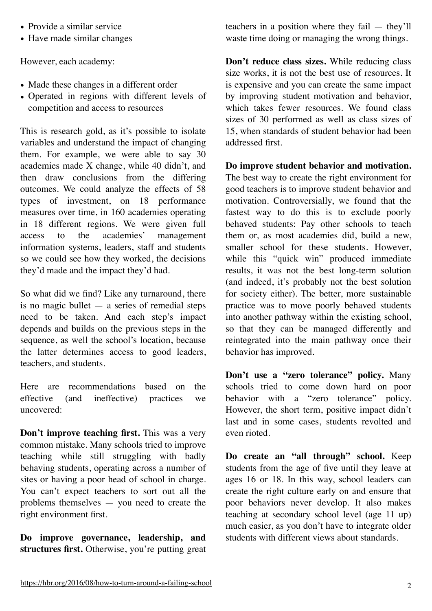- Provide a similar service
- Have made similar changes

However, each academy:

- Made these changes in a different order
- Operated in regions with different levels of competition and access to resources

This is research gold, as it's possible to isolate variables and understand the impact of changing them. For example, we were able to say 30 academies made X change, while 40 didn't, and then draw conclusions from the differing outcomes. We could analyze the effects of 58 types of investment, on 18 performance measures over time, in 160 academies operating in 18 different regions. We were given full access to the academies' management information systems, leaders, staff and students so we could see how they worked, the decisions they'd made and the impact they'd had.

So what did we find? Like any turnaround, there is no magic bullet  $-$  a series of remedial steps need to be taken. And each step's impact depends and builds on the previous steps in the sequence, as well the school's location, because the latter determines access to good leaders, teachers, and students.

Here are recommendations based on the effective (and ineffective) practices we uncovered:

**Don't improve teaching first.** This was a very common mistake. Many schools tried to improve teaching while still struggling with badly behaving students, operating across a number of sites or having a poor head of school in charge. You can't expect teachers to sort out all the problems themselves — you need to create the right environment first.

**Do improve governance, leadership, and structures first.** Otherwise, you're putting great teachers in a position where they fail — they'll waste time doing or managing the wrong things.

**Don't reduce class sizes.** While reducing class size works, it is not the best use of resources. It is expensive and you can create the same impact by improving student motivation and behavior, which takes fewer resources. We found class sizes of 30 performed as well as class sizes of 15, when standards of student behavior had been addressed first.

#### **Do improve student behavior and motivation.**

The best way to create the right environment for good teachers is to improve student behavior and motivation. Controversially, we found that the fastest way to do this is to exclude poorly behaved students: Pay other schools to teach them or, as most academies did, build a new, smaller school for these students. However, while this "quick win" produced immediate results, it was not the best long-term solution (and indeed, it's probably not the best solution for society either). The better, more sustainable practice was to move poorly behaved students into another pathway within the existing school, so that they can be managed differently and reintegrated into the main pathway once their behavior has improved.

**Don't use a "zero tolerance" policy.** Many schools tried to come down hard on poor behavior with a "zero tolerance" policy. However, the short term, positive impact didn't last and in some cases, students revolted and even rioted.

**Do create an "all through" school.** Keep students from the age of five until they leave at ages 16 or 18. In this way, school leaders can create the right culture early on and ensure that poor behaviors never develop. It also makes teaching at secondary school level (age 11 up) much easier, as you don't have to integrate older students with different views about standards.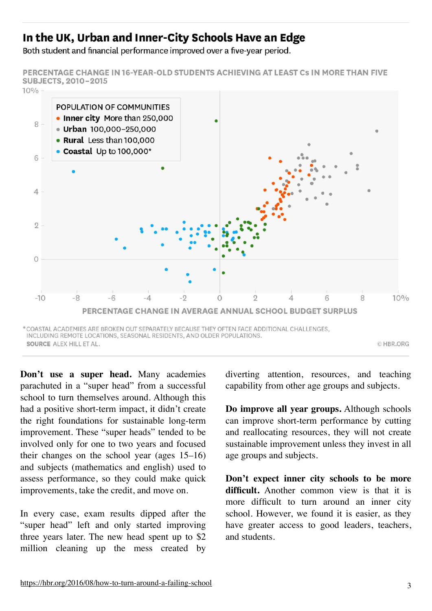## In the UK, Urban and Inner-City Schools Have an Edge

Both student and financial performance improved over a five-year period.

PERCENTAGE CHANGE IN 16-YEAR-OLD STUDENTS ACHIEVING AT LEAST CS IN MORE THAN FIVE SUBJECTS, 2010-2015



**Don't use a super head.** Many academies parachuted in a "super head" from a successful school to turn themselves around. Although this had a positive short-term impact, it didn't create the right foundations for sustainable long-term improvement. These "super heads" tended to be involved only for one to two years and focused their changes on the school year (ages 15–16) and subjects (mathematics and english) used to assess performance, so they could make quick improvements, take the credit, and move on.

In every case, exam results dipped after the "super head" left and only started improving three years later. The new head spent up to \$2 million cleaning up the mess created by

diverting attention, resources, and teaching capability from other age groups and subjects.

**Do improve all year groups.** Although schools can improve short-term performance by cutting and reallocating resources, they will not create sustainable improvement unless they invest in all age groups and subjects.

**Don't expect inner city schools to be more difficult.** Another common view is that it is more difficult to turn around an inner city school. However, we found it is easier, as they have greater access to good leaders, teachers, and students.